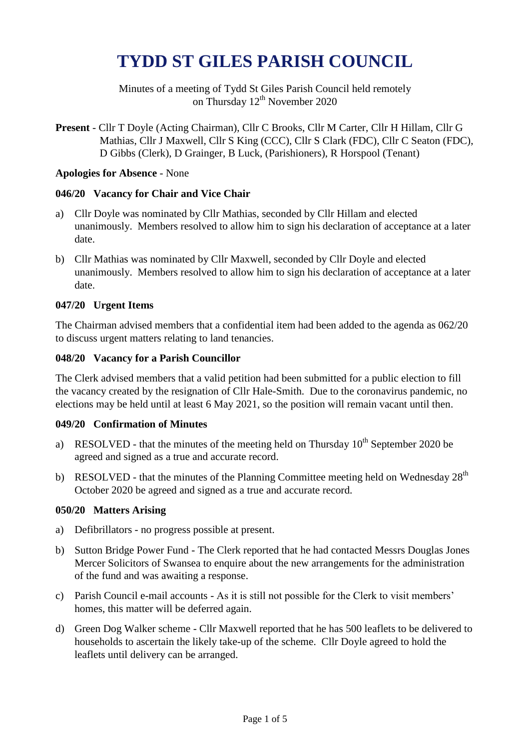# **TYDD ST GILES PARISH COUNCIL**

Minutes of a meeting of Tydd St Giles Parish Council held remotely on Thursday 12<sup>th</sup> November 2020

**Present** - Cllr T Doyle (Acting Chairman), Cllr C Brooks, Cllr M Carter, Cllr H Hillam, Cllr G Mathias, Cllr J Maxwell, Cllr S King (CCC), Cllr S Clark (FDC), Cllr C Seaton (FDC), D Gibbs (Clerk), D Grainger, B Luck, (Parishioners), R Horspool (Tenant)

## **Apologies for Absence** - None

## **046/20 Vacancy for Chair and Vice Chair**

- a) Cllr Doyle was nominated by Cllr Mathias, seconded by Cllr Hillam and elected unanimously. Members resolved to allow him to sign his declaration of acceptance at a later date.
- b) Cllr Mathias was nominated by Cllr Maxwell, seconded by Cllr Doyle and elected unanimously. Members resolved to allow him to sign his declaration of acceptance at a later date.

## **047/20 Urgent Items**

The Chairman advised members that a confidential item had been added to the agenda as 062/20 to discuss urgent matters relating to land tenancies.

#### **048/20 Vacancy for a Parish Councillor**

The Clerk advised members that a valid petition had been submitted for a public election to fill the vacancy created by the resignation of Cllr Hale-Smith. Due to the coronavirus pandemic, no elections may be held until at least 6 May 2021, so the position will remain vacant until then.

#### **049/20 Confirmation of Minutes**

- a) RESOLVED that the minutes of the meeting held on Thursday  $10^{th}$  September 2020 be agreed and signed as a true and accurate record.
- b) RESOLVED that the minutes of the Planning Committee meeting held on Wednesday  $28<sup>th</sup>$ October 2020 be agreed and signed as a true and accurate record.

## **050/20 Matters Arising**

- a) Defibrillators no progress possible at present.
- b) Sutton Bridge Power Fund The Clerk reported that he had contacted Messrs Douglas Jones Mercer Solicitors of Swansea to enquire about the new arrangements for the administration of the fund and was awaiting a response.
- c) Parish Council e-mail accounts As it is still not possible for the Clerk to visit members' homes, this matter will be deferred again.
- d) Green Dog Walker scheme Cllr Maxwell reported that he has 500 leaflets to be delivered to households to ascertain the likely take-up of the scheme. Cllr Doyle agreed to hold the leaflets until delivery can be arranged.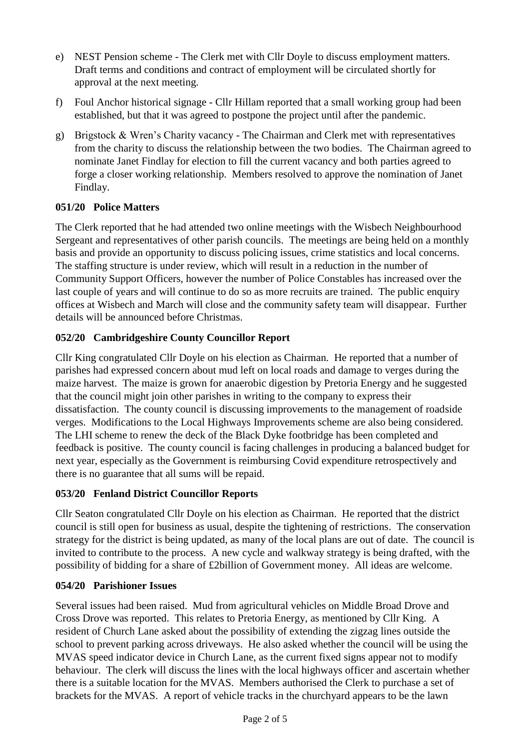- e) NEST Pension scheme The Clerk met with Cllr Doyle to discuss employment matters. Draft terms and conditions and contract of employment will be circulated shortly for approval at the next meeting.
- f) Foul Anchor historical signage Cllr Hillam reported that a small working group had been established, but that it was agreed to postpone the project until after the pandemic.
- g) Brigstock & Wren's Charity vacancy The Chairman and Clerk met with representatives from the charity to discuss the relationship between the two bodies. The Chairman agreed to nominate Janet Findlay for election to fill the current vacancy and both parties agreed to forge a closer working relationship. Members resolved to approve the nomination of Janet Findlay.

## **051/20 Police Matters**

The Clerk reported that he had attended two online meetings with the Wisbech Neighbourhood Sergeant and representatives of other parish councils. The meetings are being held on a monthly basis and provide an opportunity to discuss policing issues, crime statistics and local concerns. The staffing structure is under review, which will result in a reduction in the number of Community Support Officers, however the number of Police Constables has increased over the last couple of years and will continue to do so as more recruits are trained. The public enquiry offices at Wisbech and March will close and the community safety team will disappear. Further details will be announced before Christmas.

# **052/20 Cambridgeshire County Councillor Report**

Cllr King congratulated Cllr Doyle on his election as Chairman. He reported that a number of parishes had expressed concern about mud left on local roads and damage to verges during the maize harvest. The maize is grown for anaerobic digestion by Pretoria Energy and he suggested that the council might join other parishes in writing to the company to express their dissatisfaction. The county council is discussing improvements to the management of roadside verges. Modifications to the Local Highways Improvements scheme are also being considered. The LHI scheme to renew the deck of the Black Dyke footbridge has been completed and feedback is positive. The county council is facing challenges in producing a balanced budget for next year, especially as the Government is reimbursing Covid expenditure retrospectively and there is no guarantee that all sums will be repaid.

# **053/20 Fenland District Councillor Reports**

Cllr Seaton congratulated Cllr Doyle on his election as Chairman. He reported that the district council is still open for business as usual, despite the tightening of restrictions. The conservation strategy for the district is being updated, as many of the local plans are out of date. The council is invited to contribute to the process. A new cycle and walkway strategy is being drafted, with the possibility of bidding for a share of £2billion of Government money. All ideas are welcome.

## **054/20 Parishioner Issues**

Several issues had been raised. Mud from agricultural vehicles on Middle Broad Drove and Cross Drove was reported. This relates to Pretoria Energy, as mentioned by Cllr King. A resident of Church Lane asked about the possibility of extending the zigzag lines outside the school to prevent parking across driveways. He also asked whether the council will be using the MVAS speed indicator device in Church Lane, as the current fixed signs appear not to modify behaviour. The clerk will discuss the lines with the local highways officer and ascertain whether there is a suitable location for the MVAS. Members authorised the Clerk to purchase a set of brackets for the MVAS. A report of vehicle tracks in the churchyard appears to be the lawn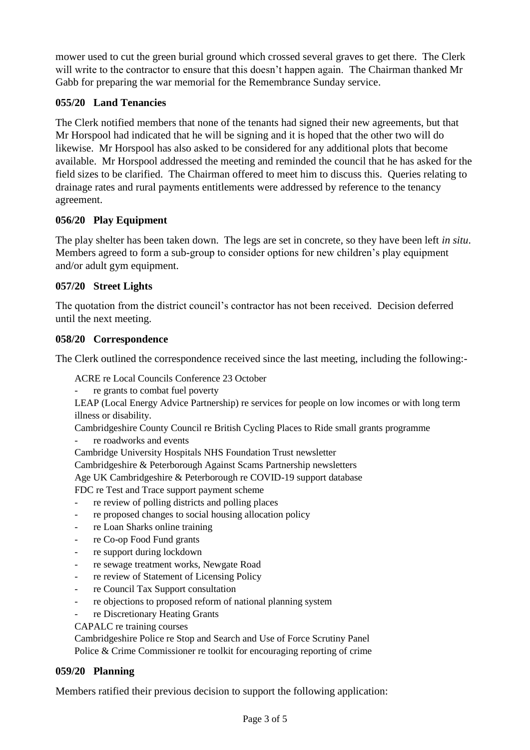mower used to cut the green burial ground which crossed several graves to get there. The Clerk will write to the contractor to ensure that this doesn't happen again. The Chairman thanked Mr Gabb for preparing the war memorial for the Remembrance Sunday service.

# **055/20 Land Tenancies**

The Clerk notified members that none of the tenants had signed their new agreements, but that Mr Horspool had indicated that he will be signing and it is hoped that the other two will do likewise. Mr Horspool has also asked to be considered for any additional plots that become available. Mr Horspool addressed the meeting and reminded the council that he has asked for the field sizes to be clarified. The Chairman offered to meet him to discuss this. Queries relating to drainage rates and rural payments entitlements were addressed by reference to the tenancy agreement.

## **056/20 Play Equipment**

The play shelter has been taken down. The legs are set in concrete, so they have been left *in situ*. Members agreed to form a sub-group to consider options for new children's play equipment and/or adult gym equipment.

## **057/20 Street Lights**

The quotation from the district council's contractor has not been received. Decision deferred until the next meeting.

#### **058/20 Correspondence**

The Clerk outlined the correspondence received since the last meeting, including the following:-

ACRE re Local Councils Conference 23 October

re grants to combat fuel poverty

LEAP (Local Energy Advice Partnership) re services for people on low incomes or with long term illness or disability.

Cambridgeshire County Council re British Cycling Places to Ride small grants programme

- re roadworks and events
- Cambridge University Hospitals NHS Foundation Trust newsletter

Cambridgeshire & Peterborough Against Scams Partnership newsletters

Age UK Cambridgeshire & Peterborough re COVID-19 support database

FDC re Test and Trace support payment scheme

- re review of polling districts and polling places
- re proposed changes to social housing allocation policy
- re Loan Sharks online training
- re Co-op Food Fund grants
- re support during lockdown
- re sewage treatment works, Newgate Road
- re review of Statement of Licensing Policy
- re Council Tax Support consultation
- re objections to proposed reform of national planning system
- re Discretionary Heating Grants

#### CAPALC re training courses

Cambridgeshire Police re Stop and Search and Use of Force Scrutiny Panel Police & Crime Commissioner re toolkit for encouraging reporting of crime

#### **059/20 Planning**

Members ratified their previous decision to support the following application: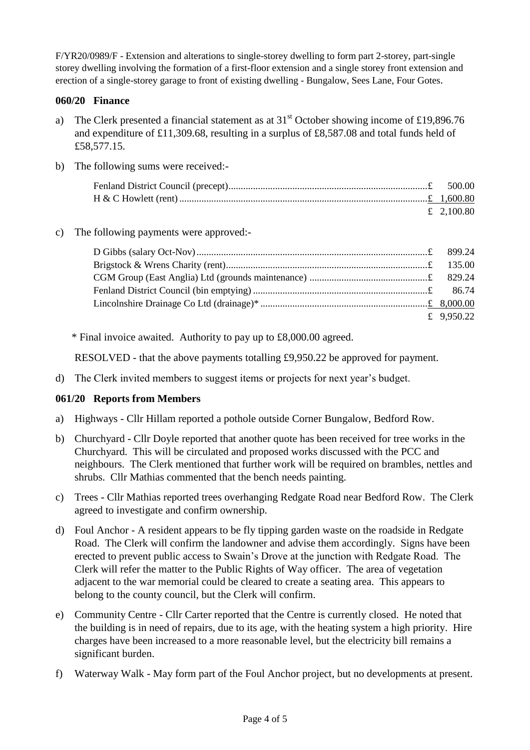F/YR20/0989/F - Extension and alterations to single-storey dwelling to form part 2-storey, part-single storey dwelling involving the formation of a first-floor extension and a single storey front extension and erection of a single-storey garage to front of existing dwelling - Bungalow, Sees Lane, Four Gotes.

## **060/20 Finance**

- a) The Clerk presented a financial statement as at  $31<sup>st</sup>$  October showing income of £19,896.76 and expenditure of £11,309.68, resulting in a surplus of £8,587.08 and total funds held of £58,577.15.
- b) The following sums were received:-

| £ 2,100.80 |
|------------|

#### c) The following payments were approved:-

| £ 9,950.22 |
|------------|

\* Final invoice awaited. Authority to pay up to £8,000.00 agreed.

RESOLVED - that the above payments totalling £9,950.22 be approved for payment.

d) The Clerk invited members to suggest items or projects for next year's budget.

## **061/20 Reports from Members**

- a) Highways Cllr Hillam reported a pothole outside Corner Bungalow, Bedford Row.
- b) Churchyard Cllr Doyle reported that another quote has been received for tree works in the Churchyard. This will be circulated and proposed works discussed with the PCC and neighbours. The Clerk mentioned that further work will be required on brambles, nettles and shrubs. Cllr Mathias commented that the bench needs painting.
- c) Trees Cllr Mathias reported trees overhanging Redgate Road near Bedford Row. The Clerk agreed to investigate and confirm ownership.
- d) Foul Anchor A resident appears to be fly tipping garden waste on the roadside in Redgate Road. The Clerk will confirm the landowner and advise them accordingly. Signs have been erected to prevent public access to Swain's Drove at the junction with Redgate Road. The Clerk will refer the matter to the Public Rights of Way officer. The area of vegetation adjacent to the war memorial could be cleared to create a seating area. This appears to belong to the county council, but the Clerk will confirm.
- e) Community Centre Cllr Carter reported that the Centre is currently closed. He noted that the building is in need of repairs, due to its age, with the heating system a high priority. Hire charges have been increased to a more reasonable level, but the electricity bill remains a significant burden.
- f) Waterway Walk May form part of the Foul Anchor project, but no developments at present.